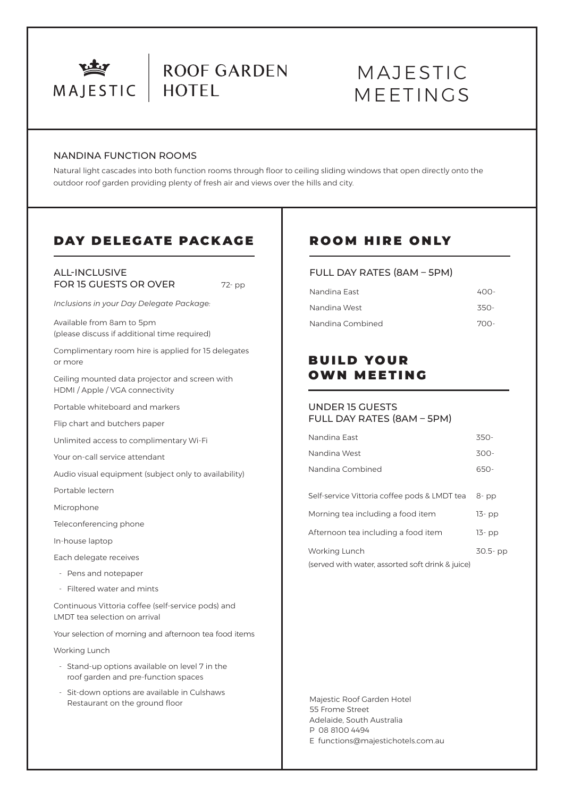

**ROOF GARDEN HOTEL** 

# MAJESTIC MEETINGS

## NANDINA FUNCTION ROOMS

Natural light cascades into both function rooms through floor to ceiling sliding windows that open directly onto the outdoor roof garden providing plenty of fresh air and views over the hills and city.

# DAY DELEGATE PACKAGE

## ALL-INCLUSIVE FOR 15 GUESTS OR OVER 72- pp

*Inclusions in your Day Delegate Package:*

Available from 8am to 5pm (please discuss if additional time required)

Complimentary room hire is applied for 15 delegates or more

Ceiling mounted data projector and screen with HDMI / Apple / VGA connectivity

Portable whiteboard and markers

Flip chart and butchers paper

Unlimited access to complimentary Wi-Fi

Your on-call service attendant

Audio visual equipment (subject only to availability)

Portable lectern

Microphone

Teleconferencing phone

In-house laptop

Each delegate receives

- Pens and notepaper
- Filtered water and mints

Continuous Vittoria coffee (self-service pods) and LMDT tea selection on arrival

Your selection of morning and afternoon tea food items

Working Lunch

- Stand-up options available on level 7 in the roof garden and pre-function spaces
- Sit-down options are available in Culshaws Restaurant on the ground floor

# ROOM HIRE ONLY

#### FULL DAY RATES (8AM – 5PM)

| Nandina Fast     | $400-$ |
|------------------|--------|
| Nandina West     | 350-   |
| Nandina Combined | 700-   |

# **BUILD YOUR** OWN MEETING

## UNDER 15 GUESTS FULL DAY RATES (8AM – 5PM)

| Nandina East                                 | 350-        |
|----------------------------------------------|-------------|
| Nandina West                                 | $300 -$     |
| Nandina Combined                             | 650-        |
|                                              |             |
| Self-service Vittoria coffee pods & LMDT tea | $8-pp$      |
| Morning tea including a food item            | $13-pp$     |
| Afternoon tea including a food item          | $13-pp$     |
| Working Lunch                                | $30.5 - pp$ |
|                                              |             |

(served with water, assorted soft drink & juice)

Majestic Roof Garden Hotel 55 Frome Street Adelaide, South Australia P 08 8100 4494 E functions@majestichotels.com.au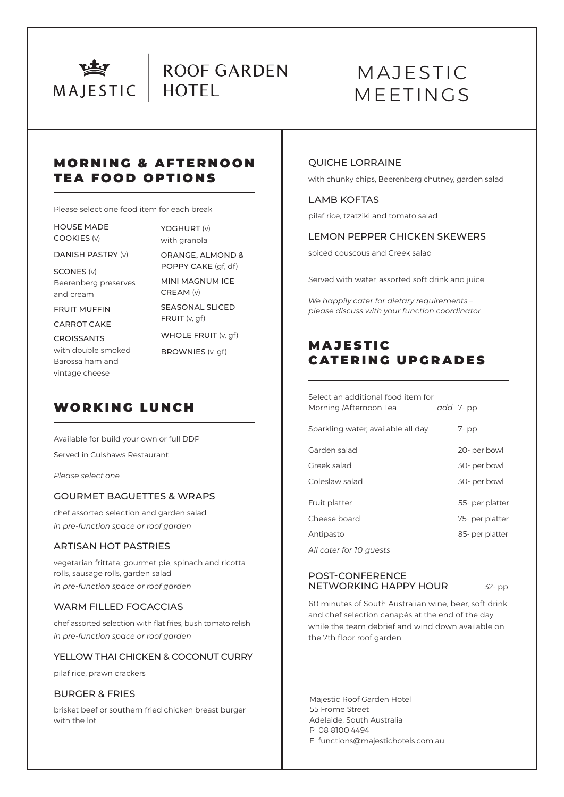

**ROOF GARDEN HOTEL** 

# MAJESTIC MEETINGS

# **MORNING & AFTERNOON** TEA FOOD OPTIONS

Please select one food item for each break

HOUSE MADE COOKIES (v)

YOGHURT (v) with granola

DANISH PASTRY (v)

SCONES (v) Beerenberg preserves and cream

FRUIT MUFFIN CARROT CAKE

CROISSANTS with double smoked Barossa ham and vintage cheese

ORANGE, ALMOND &

POPPY CAKE (af, df) MINI MAGNUM ICE

SEASONAL SLICED FRUIT (v, gf)

CREAM (v)

WHOLE FRUIT (v, gf)

BROWNIES (v, gf)

# WORKING LUNCH

Available for build your own or full DDP

Served in Culshaws Restaurant

*Please select one*

## GOURMET BAGUETTES & WRAPS

chef assorted selection and garden salad *in pre-function space or roof garden*

### ARTISAN HOT PASTRIES

vegetarian frittata, gourmet pie, spinach and ricotta rolls, sausage rolls, garden salad *in pre-function space or roof garden*

## WARM FILLED FOCACCIAS

chef assorted selection with flat fries, bush tomato relish *in pre-function space or roof garden*

## YELLOW THAI CHICKEN & COCONUT CURRY

pilaf rice, prawn crackers

#### BURGER & FRIES

brisket beef or southern fried chicken breast burger with the lot

#### QUICHE LORRAINE

with chunky chips, Beerenberg chutney, garden salad

#### LAMB KOFTAS

pilaf rice, tzatziki and tomato salad

#### LEMON PEPPER CHICKEN SKEWERS

spiced couscous and Greek salad

Served with water, assorted soft drink and juice

*We happily cater for dietary requirements – please discuss with your function coordinator* 

## **MAJESTIC** CATERING UPGRADES

Select an additional food item for Morning /Afternoon Tea *add* 7- pp

| Sparkling water, available all day | 7- pp           |
|------------------------------------|-----------------|
| Garden salad                       | 20- per bowl    |
| Greek salad                        | 30- per bowl    |
| Coleslaw salad                     | 30- per bowl    |
| Fruit platter                      | 55- per platter |
| Cheese board                       | 75- per platter |
| Antipasto                          | 85- per platter |
| All cater for 10 quests            |                 |

### POST-CONFERENCE NETWORKING HAPPY HOUR 32- pp

60 minutes of South Australian wine, beer, soft drink and chef selection canapés at the end of the day while the team debrief and wind down available on the 7th floor roof garden

Majestic Roof Garden Hotel 55 Frome Street Adelaide, South Australia P 08 8100 4494 E functions@majestichotels.com.au